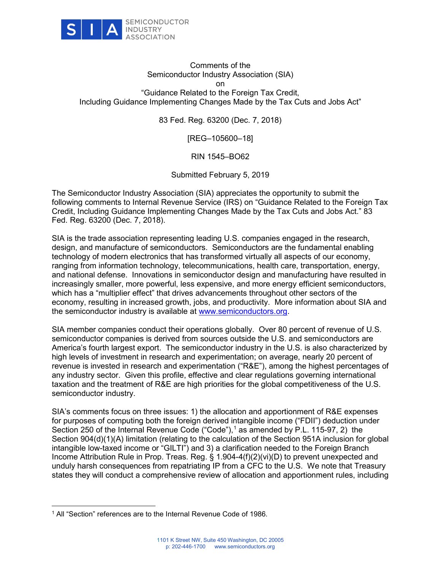

## Comments of the Semiconductor Industry Association (SIA) on "Guidance Related to the Foreign Tax Credit, Including Guidance Implementing Changes Made by the Tax Cuts and Jobs Act"

83 Fed. Reg. 63200 (Dec. 7, 2018)

[REG–105600–18]

RIN 1545–BO62

Submitted February 5, 2019

The Semiconductor Industry Association (SIA) appreciates the opportunity to submit the following comments to Internal Revenue Service (IRS) on "Guidance Related to the Foreign Tax Credit, Including Guidance Implementing Changes Made by the Tax Cuts and Jobs Act." 83 Fed. Reg. 63200 (Dec. 7, 2018).

SIA is the trade association representing leading U.S. companies engaged in the research, design, and manufacture of semiconductors. Semiconductors are the fundamental enabling technology of modern electronics that has transformed virtually all aspects of our economy, ranging from information technology, telecommunications, health care, transportation, energy, and national defense. Innovations in semiconductor design and manufacturing have resulted in increasingly smaller, more powerful, less expensive, and more energy efficient semiconductors, which has a "multiplier effect" that drives advancements throughout other sectors of the economy, resulting in increased growth, jobs, and productivity. More information about SIA and the semiconductor industry is available at [www.semiconductors.org.](http://www.semiconductors.org/)

SIA member companies conduct their operations globally. Over 80 percent of revenue of U.S. semiconductor companies is derived from sources outside the U.S. and semiconductors are America's fourth largest export. The semiconductor industry in the U.S. is also characterized by high levels of investment in research and experimentation; on average, nearly 20 percent of revenue is invested in research and experimentation ("R&E"), among the highest percentages of any industry sector. Given this profile, effective and clear regulations governing international taxation and the treatment of R&E are high priorities for the global competitiveness of the U.S. semiconductor industry.

SIA's comments focus on three issues: 1) the allocation and apportionment of R&E expenses for purposes of computing both the foreign derived intangible income ("FDII") deduction under Section 250 of the Internal Revenue Code ("Code"), $1$  as amended by P.L. 115-97, 2) the Section 904(d)(1)(A) limitation (relating to the calculation of the Section 951A inclusion for global intangible low-taxed income or "GILTI") and 3) a clarification needed to the Foreign Branch Income Attribution Rule in Prop. Treas. Reg. § 1.904-4(f)(2)(vi)(D) to prevent unexpected and unduly harsh consequences from repatriating IP from a CFC to the U.S. We note that Treasury states they will conduct a comprehensive review of allocation and apportionment rules, including

<span id="page-0-0"></span><sup>1</sup> All "Section" references are to the Internal Revenue Code of 1986.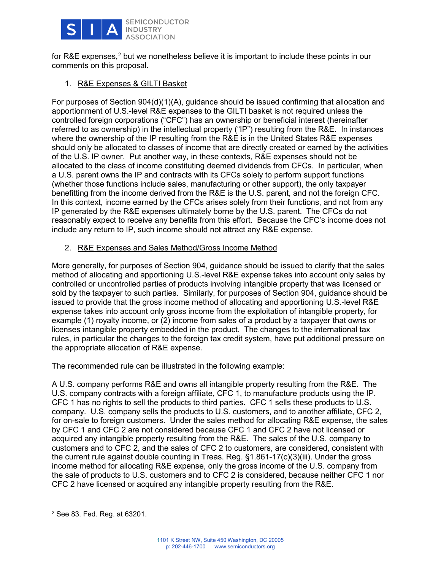

for R&E expenses,<sup>[2](#page-1-0)</sup> but we nonetheless believe it is important to include these points in our comments on this proposal.

## 1. R&E Expenses & GILTI Basket

For purposes of Section 904(d)(1)(A), guidance should be issued confirming that allocation and apportionment of U.S.-level R&E expenses to the GILTI basket is not required unless the controlled foreign corporations ("CFC") has an ownership or beneficial interest (hereinafter referred to as ownership) in the intellectual property ("IP") resulting from the R&E. In instances where the ownership of the IP resulting from the R&E is in the United States R&E expenses should only be allocated to classes of income that are directly created or earned by the activities of the U.S. IP owner. Put another way, in these contexts, R&E expenses should not be allocated to the class of income constituting deemed dividends from CFCs. In particular, when a U.S. parent owns the IP and contracts with its CFCs solely to perform support functions (whether those functions include sales, manufacturing or other support), the only taxpayer benefitting from the income derived from the R&E is the U.S. parent, and not the foreign CFC. In this context, income earned by the CFCs arises solely from their functions, and not from any IP generated by the R&E expenses ultimately borne by the U.S. parent. The CFCs do not reasonably expect to receive any benefits from this effort. Because the CFC's income does not include any return to IP, such income should not attract any R&E expense.

# 2. R&E Expenses and Sales Method/Gross Income Method

More generally, for purposes of Section 904, guidance should be issued to clarify that the sales method of allocating and apportioning U.S.-level R&E expense takes into account only sales by controlled or uncontrolled parties of products involving intangible property that was licensed or sold by the taxpayer to such parties. Similarly, for purposes of Section 904, guidance should be issued to provide that the gross income method of allocating and apportioning U.S.-level R&E expense takes into account only gross income from the exploitation of intangible property, for example (1) royalty income, or (2) income from sales of a product by a taxpayer that owns or licenses intangible property embedded in the product. The changes to the international tax rules, in particular the changes to the foreign tax credit system, have put additional pressure on the appropriate allocation of R&E expense.

The recommended rule can be illustrated in the following example:

A U.S. company performs R&E and owns all intangible property resulting from the R&E. The U.S. company contracts with a foreign affiliate, CFC 1, to manufacture products using the IP. CFC 1 has no rights to sell the products to third parties. CFC 1 sells these products to U.S. company. U.S. company sells the products to U.S. customers, and to another affiliate, CFC 2, for on-sale to foreign customers. Under the sales method for allocating R&E expense, the sales by CFC 1 and CFC 2 are not considered because CFC 1 and CFC 2 have not licensed or acquired any intangible property resulting from the R&E. The sales of the U.S. company to customers and to CFC 2, and the sales of CFC 2 to customers, are considered, consistent with the current rule against double counting in Treas. Reg. §1.861-17(c)(3)(iii). Under the gross income method for allocating R&E expense, only the gross income of the U.S. company from the sale of products to U.S. customers and to CFC 2 is considered, because neither CFC 1 nor CFC 2 have licensed or acquired any intangible property resulting from the R&E.

<span id="page-1-0"></span><sup>2</sup> See 83. Fed. Reg. at 63201.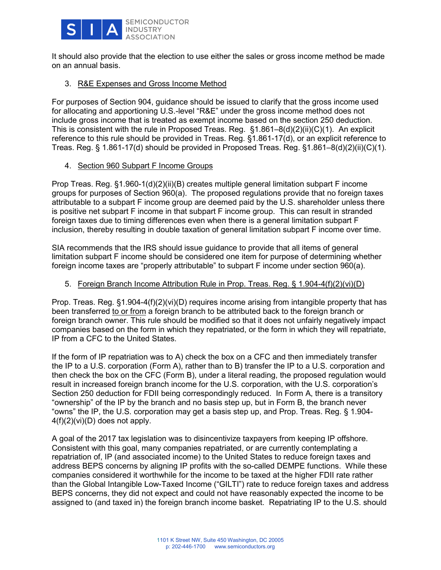

It should also provide that the election to use either the sales or gross income method be made on an annual basis.

## 3. R&E Expenses and Gross Income Method

For purposes of Section 904, guidance should be issued to clarify that the gross income used for allocating and apportioning U.S.-level "R&E" under the gross income method does not include gross income that is treated as exempt income based on the section 250 deduction. This is consistent with the rule in Proposed Treas. Reg. §1.861–8(d)(2)(ii)(C)(1). An explicit reference to this rule should be provided in Treas. Reg. §1.861-17(d), or an explicit reference to Treas. Reg. § 1.861-17(d) should be provided in Proposed Treas. Reg. §1.861–8(d)(2)(ii)(C)(1).

#### 4. Section 960 Subpart F Income Groups

Prop Treas. Reg. §1.960-1(d)(2)(ii)(B) creates multiple general limitation subpart F income groups for purposes of Section 960(a). The proposed regulations provide that no foreign taxes attributable to a subpart F income group are deemed paid by the U.S. shareholder unless there is positive net subpart F income in that subpart F income group. This can result in stranded foreign taxes due to timing differences even when there is a general limitation subpart F inclusion, thereby resulting in double taxation of general limitation subpart F income over time.

SIA recommends that the IRS should issue guidance to provide that all items of general limitation subpart F income should be considered one item for purpose of determining whether foreign income taxes are "properly attributable" to subpart F income under section 960(a).

#### 5. Foreign Branch Income Attribution Rule in Prop. Treas. Reg. § 1.904-4(f)(2)(vi)(D)

Prop. Treas. Reg.  $§1.904-4(f)(2)(vi)(D)$  requires income arising from intangible property that has been transferred to or from a foreign branch to be attributed back to the foreign branch or foreign branch owner. This rule should be modified so that it does not unfairly negatively impact companies based on the form in which they repatriated, or the form in which they will repatriate, IP from a CFC to the United States.

If the form of IP repatriation was to A) check the box on a CFC and then immediately transfer the IP to a U.S. corporation (Form A), rather than to B) transfer the IP to a U.S. corporation and then check the box on the CFC (Form B), under a literal reading, the proposed regulation would result in increased foreign branch income for the U.S. corporation, with the U.S. corporation's Section 250 deduction for FDII being correspondingly reduced. In Form A, there is a transitory "ownership" of the IP by the branch and no basis step up, but in Form B, the branch never "owns" the IP, the U.S. corporation may get a basis step up, and Prop. Treas. Reg. § 1.904- 4(f)(2)(vi)(D) does not apply.

A goal of the 2017 tax legislation was to disincentivize taxpayers from keeping IP offshore. Consistent with this goal, many companies repatriated, or are currently contemplating a repatriation of, IP (and associated income) to the United States to reduce foreign taxes and address BEPS concerns by aligning IP profits with the so-called DEMPE functions. While these companies considered it worthwhile for the income to be taxed at the higher FDII rate rather than the Global Intangible Low-Taxed Income ("GILTI") rate to reduce foreign taxes and address BEPS concerns, they did not expect and could not have reasonably expected the income to be assigned to (and taxed in) the foreign branch income basket. Repatriating IP to the U.S. should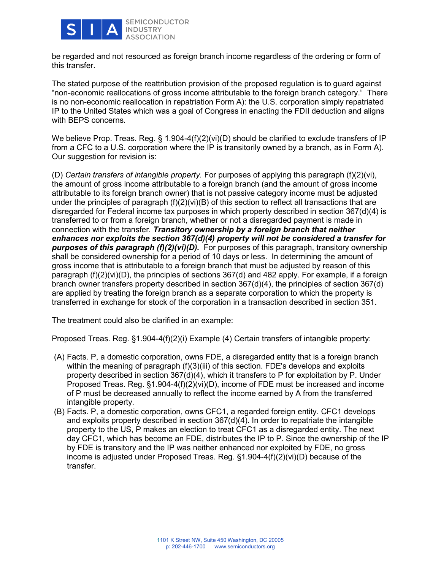

be regarded and not resourced as foreign branch income regardless of the ordering or form of this transfer.

The stated purpose of the reattribution provision of the proposed regulation is to guard against "non-economic reallocations of gross income attributable to the foreign branch category." There is no non-economic reallocation in repatriation Form A): the U.S. corporation simply repatriated IP to the United States which was a goal of Congress in enacting the FDII deduction and aligns with BEPS concerns.

We believe Prop. Treas. Reg. § 1.904-4(f)(2)(vi)(D) should be clarified to exclude transfers of IP from a CFC to a U.S. corporation where the IP is transitorily owned by a branch, as in Form A). Our suggestion for revision is:

(D) *Certain transfers of intangible property.* For purposes of applying this paragraph (f)(2)(vi), the amount of gross income attributable to a foreign branch (and the amount of gross income attributable to its foreign branch owner) that is not passive category income must be adjusted under the principles of paragraph (f)(2)(vi)(B) of this section to reflect all transactions that are disregarded for Federal income tax purposes in which property described in section 367(d)(4) is transferred to or from a foreign branch, whether or not a disregarded payment is made in connection with the transfer. *Transitory ownership by a foreign branch that neither enhances nor exploits the section 367(d)(4) property will not be considered a transfer for purposes of this paragraph (f)(2)(vi)(D).* For purposes of this paragraph, transitory ownership shall be considered ownership for a period of 10 days or less. In determining the amount of gross income that is attributable to a foreign branch that must be adjusted by reason of this paragraph (f)(2)(vi)(D), the principles of sections 367(d) and 482 apply. For example, if a foreign branch owner transfers property described in section 367(d)(4), the principles of section 367(d) are applied by treating the foreign branch as a separate corporation to which the property is transferred in exchange for stock of the corporation in a transaction described in section 351.

The treatment could also be clarified in an example:

Proposed Treas. Reg. §1.904-4(f)(2)(i) Example (4) Certain transfers of intangible property:

- (A) Facts. P, a domestic corporation, owns FDE, a disregarded entity that is a foreign branch within the meaning of paragraph (f)(3)(iii) of this section. FDE's develops and exploits property described in section 367(d)(4), which it transfers to P for exploitation by P. Under Proposed Treas. Reg. §1.904-4(f)(2)(vi)(D), income of FDE must be increased and income of P must be decreased annually to reflect the income earned by A from the transferred intangible property.
- (B) Facts. P, a domestic corporation, owns CFC1, a regarded foreign entity. CFC1 develops and exploits property described in section 367(d)(4). In order to repatriate the intangible property to the US, P makes an election to treat CFC1 as a disregarded entity. The next day CFC1, which has become an FDE, distributes the IP to P. Since the ownership of the IP by FDE is transitory and the IP was neither enhanced nor exploited by FDE, no gross income is adjusted under Proposed Treas. Reg. §1.904-4(f)(2)(vi)(D) because of the transfer.